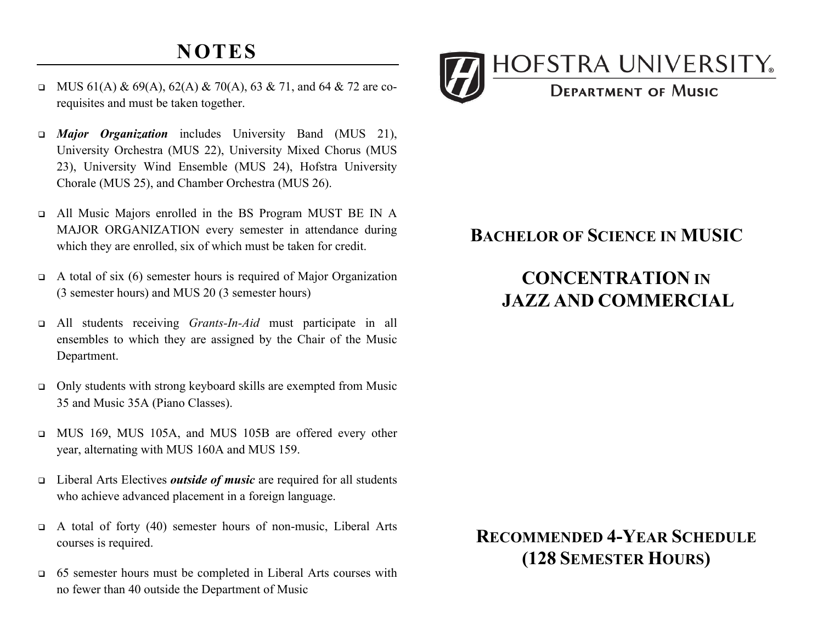# **NOTES**

- $\Box$  MUS 61(A) & 69(A), 62(A) & 70(A), 63 & 71, and 64 & 72 are corequisites and must be taken together.
- <sup>q</sup> *Major Organization* includes University Band (MUS 21), University Orchestra (MUS 22), University Mixed Chorus (MUS 23), University Wind Ensemble (MUS 24), Hofstra University Chorale (MUS 25), and Chamber Orchestra (MUS 26).
- <sup>q</sup> All Music Majors enrolled in the BS Program MUST BE IN A MAJOR ORGANIZATION every semester in attendance during which they are enrolled, six of which must be taken for credit.
- $\Box$  A total of six (6) semester hours is required of Major Organization (3 semester hours) and MUS 20 (3 semester hours)
- <sup>q</sup> All students receiving *Grants-In-Aid* must participate in all ensembles to which they are assigned by the Chair of the Music Department.
- <sup>q</sup> Only students with strong keyboard skills are exempted from Music 35 and Music 35A (Piano Classes).
- <sup>q</sup> MUS 169, MUS 105A, and MUS 105B are offered every other year, alternating with MUS 160A and MUS 159.
- <sup>q</sup> Liberal Arts Electives *outside of music* are required for all students who achieve advanced placement in a foreign language.
- <sup>q</sup> A total of forty (40) semester hours of non-music, Liberal Arts courses is required.
- <sup>q</sup> 65 semester hours must be completed in Liberal Arts courses with no fewer than 40 outside the Department of Music



#### **BACHELOR OF SCIENCE IN MUSIC**

## **JAZZ AND COMMERCIAL CONCENTRATION IN**

### **RECOMMENDED 4-YEAR SCHEDULE (128 SEMESTER HOURS)**